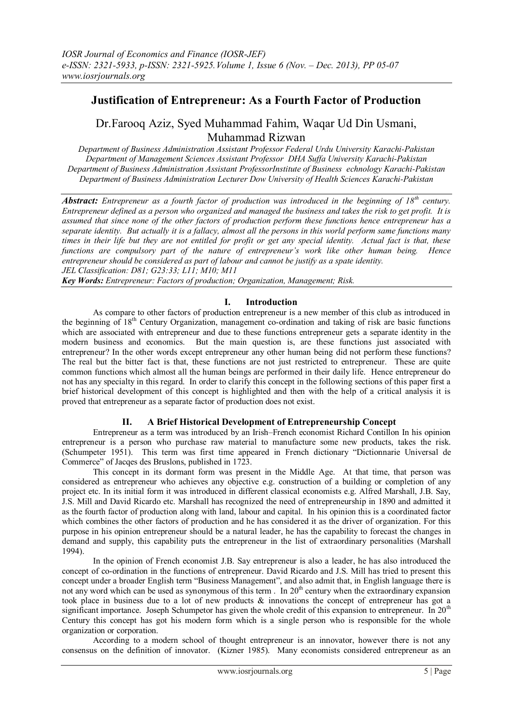# **Justification of Entrepreneur: As a Fourth Factor of Production**

# Dr.Farooq Aziz, Syed Muhammad Fahim, Waqar Ud Din Usmani, Muhammad Rizwan

*Department of Business Administration Assistant Professor Federal Urdu University Karachi-Pakistan Department of Management Sciences Assistant Professor DHA Suffa University Karachi-Pakistan Department of Business Administration Assistant ProfessorInstitute of Business echnology Karachi-Pakistan Department of Business Administration Lecturer Dow University of Health Sciences Karachi-Pakistan*

*Abstract: Entrepreneur as a fourth factor of production was introduced in the beginning of 18th century. Entrepreneur defined as a person who organized and managed the business and takes the risk to get profit. It is assumed that since none of the other factors of production perform these functions hence entrepreneur has a separate identity. But actually it is a fallacy, almost all the persons in this world perform same functions many times in their life but they are not entitled for profit or get any special identity. Actual fact is that, these functions are compulsory part of the nature of entrepreneur's work like other human being. Hence entrepreneur should be considered as part of labour and cannot be justify as a spate identity. JEL Classification: D81; G23:33; L11; M10; M11*

*Key Words: Entrepreneur: Factors of production; Organization, Management; Risk.*

## **I. Introduction**

As compare to other factors of production entrepreneur is a new member of this club as introduced in the beginning of 18<sup>th</sup> Century Organization, management co-ordination and taking of risk are basic functions which are associated with entrepreneur and due to these functions entrepreneur gets a separate identity in the modern business and economics. But the main question is, are these functions just associated with entrepreneur? In the other words except entrepreneur any other human being did not perform these functions? The real but the bitter fact is that, these functions are not just restricted to entrepreneur. These are quite common functions which almost all the human beings are performed in their daily life. Hence entrepreneur do not has any specialty in this regard. In order to clarify this concept in the following sections of this paper first a brief historical development of this concept is highlighted and then with the help of a critical analysis it is proved that entrepreneur as a separate factor of production does not exist.

## **II. A Brief Historical Development of Entrepreneurship Concept**

Entrepreneur as a term was introduced by an Irish–French economist Richard Contillon In his opinion entrepreneur is a person who purchase raw material to manufacture some new products, takes the risk. (Schumpeter 1951). This term was first time appeared in French dictionary "Dictionnarie Universal de Commerce" of Jacqes des Bruslons, published in 1723.

This concept in its dormant form was present in the Middle Age. At that time, that person was considered as entrepreneur who achieves any objective e.g. construction of a building or completion of any project etc. In its initial form it was introduced in different classical economists e.g. Alfred Marshall, J.B. Say, J.S. Mill and David Ricardo etc. Marshall has recognized the need of entrepreneurship in 1890 and admitted it as the fourth factor of production along with land, labour and capital. In his opinion this is a coordinated factor which combines the other factors of production and he has considered it as the driver of organization. For this purpose in his opinion entrepreneur should be a natural leader, he has the capability to forecast the changes in demand and supply, this capability puts the entrepreneur in the list of extraordinary personalities (Marshall 1994).

In the opinion of French economist J.B. Say entrepreneur is also a leader, he has also introduced the concept of co-ordination in the functions of entrepreneur. David Ricardo and J.S. Mill has tried to present this concept under a broader English term "Business Management", and also admit that, in English language there is not any word which can be used as synonymous of this term . In 20<sup>th</sup> century when the extraordinary expansion took place in business due to a lot of new products & innovations the concept of entrepreneur has got a significant importance. Joseph Schumpetor has given the whole credit of this expansion to entrepreneur. In 20<sup>th</sup> Century this concept has got his modern form which is a single person who is responsible for the whole organization or corporation.

According to a modern school of thought entrepreneur is an innovator, however there is not any consensus on the definition of innovator. (Kizner 1985). Many economists considered entrepreneur as an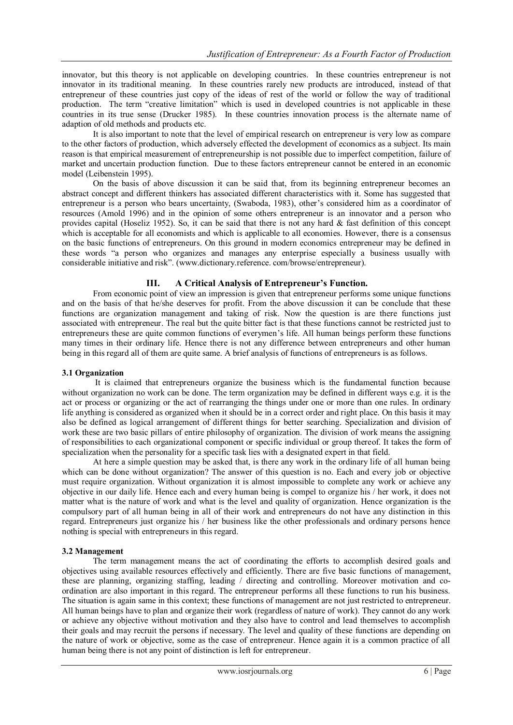innovator, but this theory is not applicable on developing countries. In these countries entrepreneur is not innovator in its traditional meaning. In these countries rarely new products are introduced, instead of that entrepreneur of these countries just copy of the ideas of rest of the world or follow the way of traditional production. The term "creative limitation" which is used in developed countries is not applicable in these countries in its true sense (Drucker 1985). In these countries innovation process is the alternate name of adaption of old methods and products etc.

It is also important to note that the level of empirical research on entrepreneur is very low as compare to the other factors of production, which adversely effected the development of economics as a subject. Its main reason is that empirical measurement of entrepreneurship is not possible due to imperfect competition, failure of market and uncertain production function. Due to these factors entrepreneur cannot be entered in an economic model (Leibenstein 1995).

On the basis of above discussion it can be said that, from its beginning entrepreneur becomes an abstract concept and different thinkers has associated different characteristics with it. Some has suggested that entrepreneur is a person who bears uncertainty, (Swaboda, 1983), other's considered him as a coordinator of resources (Amold 1996) and in the opinion of some others entrepreneur is an innovator and a person who provides capital (Hoseliz 1952). So, it can be said that there is not any hard  $\&$  fast definition of this concept which is acceptable for all economists and which is applicable to all economies. However, there is a consensus on the basic functions of entrepreneurs. On this ground in modern economics entrepreneur may be defined in these words "a person who organizes and manages any enterprise especially a business usually with considerable initiative and risk". (www.dictionary.reference. com/browse/entrepreneur).

## **III. A Critical Analysis of Entrepreneur's Function.**

From economic point of view an impression is given that entrepreneur performs some unique functions and on the basis of that he/she deserves for profit. From the above discussion it can be conclude that these functions are organization management and taking of risk. Now the question is are there functions just associated with entrepreneur. The real but the quite bitter fact is that these functions cannot be restricted just to entrepreneurs these are quite common functions of everymen's life. All human beings perform these functions many times in their ordinary life. Hence there is not any difference between entrepreneurs and other human being in this regard all of them are quite same. A brief analysis of functions of entrepreneurs is as follows.

## **3.1 Organization**

It is claimed that entrepreneurs organize the business which is the fundamental function because without organization no work can be done. The term organization may be defined in different ways e.g. it is the act or process or organizing or the act of rearranging the things under one or more than one rules. In ordinary life anything is considered as organized when it should be in a correct order and right place. On this basis it may also be defined as logical arrangement of different things for better searching. Specialization and division of work these are two basic pillars of entire philosophy of organization. The division of work means the assigning of responsibilities to each organizational component or specific individual or group thereof. It takes the form of specialization when the personality for a specific task lies with a designated expert in that field.

At here a simple question may be asked that, is there any work in the ordinary life of all human being which can be done without organization? The answer of this question is no. Each and every job or objective must require organization. Without organization it is almost impossible to complete any work or achieve any objective in our daily life. Hence each and every human being is compel to organize his / her work, it does not matter what is the nature of work and what is the level and quality of organization. Hence organization is the compulsory part of all human being in all of their work and entrepreneurs do not have any distinction in this regard. Entrepreneurs just organize his / her business like the other professionals and ordinary persons hence nothing is special with entrepreneurs in this regard.

## **3.2 Management**

The term management means the act of coordinating the efforts to accomplish desired goals and objectives using available resources effectively and efficiently. There are five basic functions of management, these are planning, organizing staffing, leading / directing and controlling. Moreover motivation and coordination are also important in this regard. The entrepreneur performs all these functions to run his business. The situation is again same in this context; these functions of management are not just restricted to entrepreneur. All human beings have to plan and organize their work (regardless of nature of work). They cannot do any work or achieve any objective without motivation and they also have to control and lead themselves to accomplish their goals and may recruit the persons if necessary. The level and quality of these functions are depending on the nature of work or objective, some as the case of entrepreneur. Hence again it is a common practice of all human being there is not any point of distinction is left for entrepreneur.